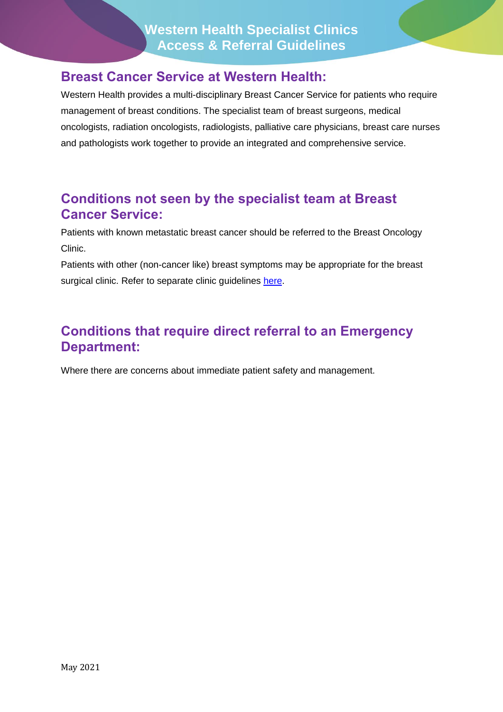#### **Breast Cancer Service at Western Health:**

Western Health provides a multi-disciplinary Breast Cancer Service for patients who require management of breast conditions. The specialist team of breast surgeons, medical oncologists, radiation oncologists, radiologists, palliative care physicians, breast care nurses and pathologists work together to provide an integrated and comprehensive service.

#### **Conditions not seen by the specialist team at Breast Cancer Service:**

Patients with known metastatic breast cancer should be referred to the Breast Oncology Clinic.

Patients with other (non-cancer like) breast symptoms may be appropriate for the breast surgical clinic. Refer to separate clinic guidelines [here.](https://www.westernhealth.org.au/HealthProfessionals/ForGPs/Referrals/Pages/Surgical-Breast.aspx)

### **Conditions that require direct referral to an Emergency Department:**

Where there are concerns about immediate patient safety and management.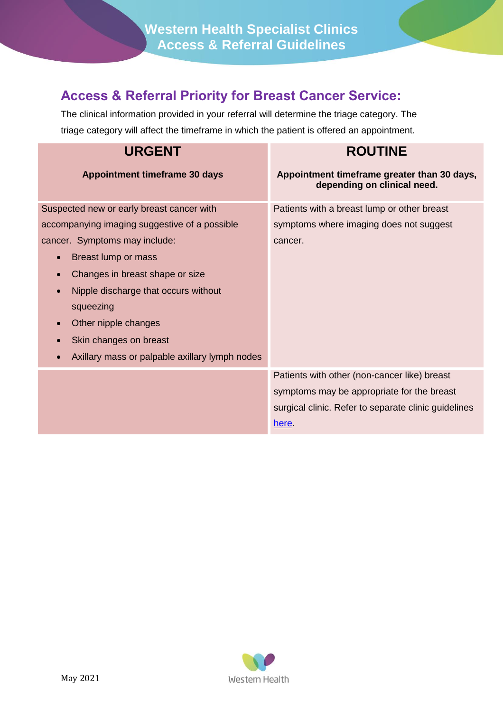**Western Health Specialist Clinics Access & Referral Guidelines**

## **Access & Referral Priority for Breast Cancer Service:**

The clinical information provided in your referral will determine the triage category. The triage category will affect the timeframe in which the patient is offered an appointment.

| <b>URGENT</b>                                                                                                                                                                                                                                                                                                                  | <b>ROUTINE</b>                                                                                                                                              |
|--------------------------------------------------------------------------------------------------------------------------------------------------------------------------------------------------------------------------------------------------------------------------------------------------------------------------------|-------------------------------------------------------------------------------------------------------------------------------------------------------------|
| <b>Appointment timeframe 30 days</b>                                                                                                                                                                                                                                                                                           | Appointment timeframe greater than 30 days,<br>depending on clinical need.                                                                                  |
| Suspected new or early breast cancer with<br>accompanying imaging suggestive of a possible                                                                                                                                                                                                                                     | Patients with a breast lump or other breast<br>symptoms where imaging does not suggest                                                                      |
| cancer. Symptoms may include:<br>Breast lump or mass<br>$\bullet$<br>Changes in breast shape or size<br>$\bullet$<br>Nipple discharge that occurs without<br>$\bullet$<br>squeezing<br>Other nipple changes<br>$\bullet$<br>Skin changes on breast<br>$\bullet$<br>Axillary mass or palpable axillary lymph nodes<br>$\bullet$ | cancer.                                                                                                                                                     |
|                                                                                                                                                                                                                                                                                                                                | Patients with other (non-cancer like) breast<br>symptoms may be appropriate for the breast<br>surgical clinic. Refer to separate clinic guidelines<br>here. |